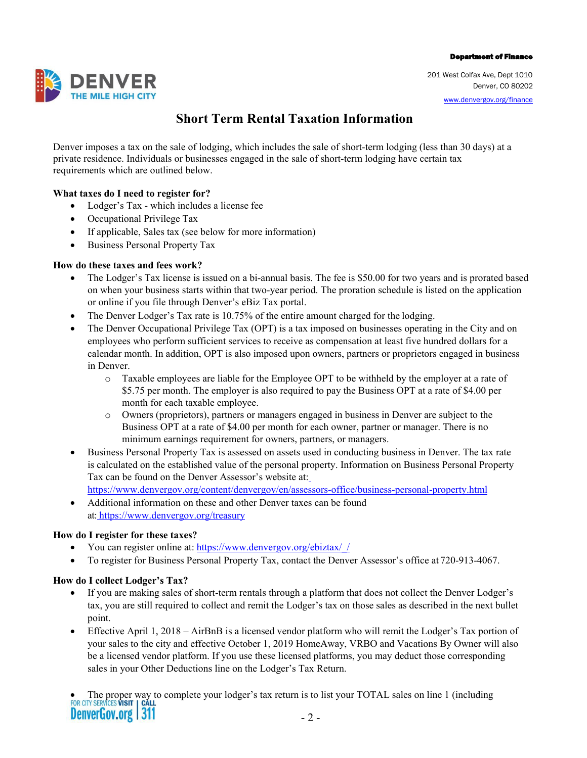#### Department of Finance

**DENVER** 

 201 West Colfax Ave, Dept 1010 Denver, CO 80202 [www.denvergov.org/finance](http://www.denvergov.org/finance) 

# **Short Term Rental Taxation Information**

 Denver imposes a tax on the sale of lodging, which includes the sale of short-term lodging (less than 30 days) at a private residence. Individuals or businesses engaged in the sale of short-term lodging have certain tax requirements which are outlined below.

## **What taxes do I need to register for?**

- Lodger's Tax which includes a license fee
- Occupational Privilege Tax
- If applicable, Sales tax (see below for more information)
- Business Personal Property Tax

### **How do these taxes and fees work?**

- • The Lodger's Tax license is issued on a bi-annual basis. The fee is \$50.00 for two years and is prorated based or online if you file through Denver's eBiz Tax portal. on when your business starts within that two-year period. The proration schedule is listed on the application
- The Denver Lodger's Tax rate is 10.75% of the entire amount charged for the lodging.
- • The Denver Occupational Privilege Tax (OPT) is a tax imposed on businesses operating in the City and on employees who perform sufficient services to receive as compensation at least five hundred dollars for a calendar month. In addition, OPT is also imposed upon owners, partners or proprietors engaged in business in Denver.
	- o Taxable employees are liable for the Employee OPT to be withheld by the employer at a rate of \$5.75 per month. The employer is also required to pay the Business OPT at a rate of \$4.00 per month for each taxable employee.
	- o Owners (proprietors), partners or managers engaged in business in Denver are subject to the minimum earnings requirement for owners, partners, or managers. Business OPT at a rate of \$4.00 per month for each owner, partner or manager. There is no
- • Business Personal Property Tax is assessed on assets used in conducting business in Denver. The tax rate is calculated on the established value of the personal property. Information on Business Personal Property Tax can be found on the Denver Assessor's website at:
	- <https://www.denvergov.org/content/denvergov/en/assessors-office/business-personal-property.html>
- • Additional information on these and other Denver taxes can be found at[: https://www.denvergov.org/treasury](https://www.denvergov.org/treasury)

### **How do I register for these taxes?**

- You can register online at: https://www.denvergov.org/ebiztax//
- To register for Business Personal Property Tax, contact the Denver Assessor's office at 720-913-4067.

### **How do I collect Lodger's Tax?**

- • If you are making sales of short-term rentals through a platform that does not collect the Denver Lodger's tax, you are still required to collect and remit the Lodger's tax on those sales as described in the next bullet point.
- • Effective April 1, 2018 AirBnB is a licensed vendor platform who will remit the Lodger's Tax portion of your sales to the city and effective October 1, 2019 HomeAway, VRBO and Vacations By Owner will also be a licensed vendor platform. If you use these licensed platforms, you may deduct those corresponding sales in your Other Deductions line on the Lodger's Tax Return.

• The proper way to complete your lodger's tax return is to list your TOTAL sales on line 1 (including FOR CITY SERVICES VISIT | CALL **DenverGov.org 311**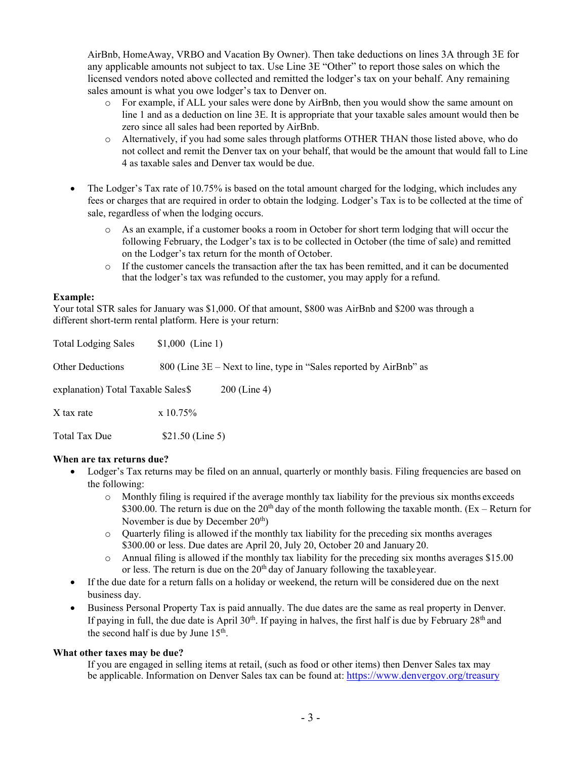AirBnb, HomeAway, VRBO and Vacation By Owner). Then take deductions on lines 3A through 3E for any applicable amounts not subject to tax. Use Line 3E "Other" to report those sales on which the licensed vendors noted above collected and remitted the lodger's tax on your behalf. Any remaining sales amount is what you owe lodger's tax to Denver on.

- o For example, if ALL your sales were done by AirBnb, then you would show the same amount on line 1 and as a deduction on line 3E. It is appropriate that your taxable sales amount would then be zero since all sales had been reported by AirBnb.
- o Alternatively, if you had some sales through platforms OTHER THAN those listed above, who do 4 as taxable sales and Denver tax would be due. not collect and remit the Denver tax on your behalf, that would be the amount that would fall to Line
- • The Lodger's Tax rate of 10.75% is based on the total amount charged for the lodging, which includes any fees or charges that are required in order to obtain the lodging. Lodger's Tax is to be collected at the time of sale, regardless of when the lodging occurs.
	- following February, the Lodger's tax is to be collected in October (the time of sale) and remitted on the Lodger's tax return for the month of October. o As an example, if a customer books a room in October for short term lodging that will occur the
	- o If the customer cancels the transaction after the tax has been remitted, and it can be documented that the lodger's tax was refunded to the customer, you may apply for a refund.

#### **Example:**

 Your total STR sales for January was \$1,000. Of that amount, \$800 was AirBnb and \$200 was through a different short-term rental platform. Here is your return:

| <b>Total Lodging Sales</b>          | $$1,000$ (Line 1) |                                                                      |
|-------------------------------------|-------------------|----------------------------------------------------------------------|
| <b>Other Deductions</b>             |                   | 800 (Line $3E$ – Next to line, type in "Sales reported by AirBnb" as |
| explanation) Total Taxable Sales \$ |                   | $200$ (Line 4)                                                       |
| X tax rate                          | $\rm x\; 10.75\%$ |                                                                      |
| Total Tax Due                       | $$21.50$ (Line 5) |                                                                      |

### **When are tax returns due?**

- • Lodger's Tax returns may be filed on an annual, quarterly or monthly basis. Filing frequencies are based on the following:
	- o Monthly filing is required if the average monthly tax liability for the previous six months exceeds \$300.00. The return is due on the  $20<sup>th</sup>$  day of the month following the taxable month. (Ex – Return for November is due by December  $20<sup>th</sup>$ )
	- o Quarterly filing is allowed if the monthly tax liability for the preceding six months averages \$300.00 or less. Due dates are April 20, July 20, October 20 and January 20.
	- or less. The return is due on the  $20<sup>th</sup>$  day of January following the taxableyear. o Annual filing is allowed if the monthly tax liability for the preceding six months averages \$15.00
- • If the due date for a return falls on a holiday or weekend, the return will be considered due on the next business day.
- • Business Personal Property Tax is paid annually. The due dates are the same as real property in Denver. the second half is due by June 15th. If paying in full, the due date is April 30<sup>th</sup>. If paying in halves, the first half is due by February 28<sup>th</sup> and

### **What other taxes may be due?**

be applicable. Information on Denver Sales tax can be found at: https://www.denvergov.org/treasury If you are engaged in selling items at retail, (such as food or other items) then Denver Sales tax may